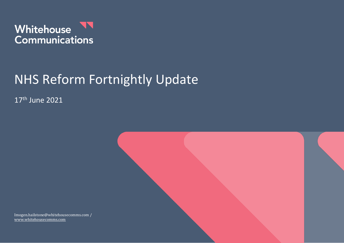

# NHS Reform Fortnightly Update

17th June 2021



Imogen.hailstone@whitehousecomms.com / [www.whitehousecomms.com](http://www.whitehousecomms.com/)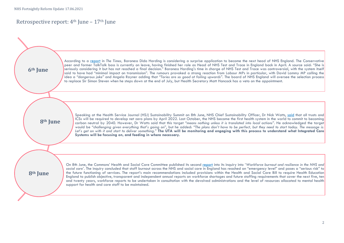## Retrospective report: 4th June – 17th June

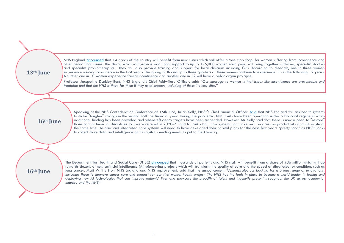| 13 <sup>th</sup> June | NHS England announced that 14 areas of the country will benefit from new clinics which will offer a 'one stop shop' for women suffering from incontinence and<br>other pelvic floor issues. The clinics, which will provide additional support to up to 175,000 women each year, will bring together midwives, specialist doctors<br>and specialist physiotherapists. They will also provide training and support for local clinicians including GPs. According to research, one in three women<br>experience urinary incontinence in the first year after giving birth and up to three quarters of these women continue to experience this in the following 12 years.<br>A further one in 10 women experience faecal incontinence and another one in 12 will have a pelvic organ prolapse.                                                                                                                         |
|-----------------------|---------------------------------------------------------------------------------------------------------------------------------------------------------------------------------------------------------------------------------------------------------------------------------------------------------------------------------------------------------------------------------------------------------------------------------------------------------------------------------------------------------------------------------------------------------------------------------------------------------------------------------------------------------------------------------------------------------------------------------------------------------------------------------------------------------------------------------------------------------------------------------------------------------------------|
|                       | Professor Jacqueline Dunkley-Bent, NHS England's Chief Midwifery Officer, said: "Our message to women is that issues like incontinence are preventable and<br>treatable and that the NHS is there for them if they need support, including at these 14 new sites."                                                                                                                                                                                                                                                                                                                                                                                                                                                                                                                                                                                                                                                  |
|                       |                                                                                                                                                                                                                                                                                                                                                                                                                                                                                                                                                                                                                                                                                                                                                                                                                                                                                                                     |
|                       | Speaking at the NHS Confederation Conference on 16th June, Julian Kelly, NHSE's Chief Financial Officer, said that NHS England will ask health systems<br>to make "tougher" savings in the second half the financial year. During the pandemic, NHS trusts have been operating under a financial regime in which<br>additional funding has been provided and where efficiency targets have been suspended. However, Mr Kelly said that there is now a need to "restore"<br>16 <sup>th</sup> June<br>those normal financial disciplines that were relaxed in 2020-21 and to think about how systems can make real progress on productivity and cut waste at<br>the same time. He also said integrated care systems will need to have developed their capital plans for the next few years "pretty soon" as NHSE looks<br>to collect more data and intelligence on its capital spending needs to put to the Treasury. |
|                       |                                                                                                                                                                                                                                                                                                                                                                                                                                                                                                                                                                                                                                                                                                                                                                                                                                                                                                                     |
| 16 <sup>th</sup> June | The Department for Health and Social Care (DHSC) announced that thousands of patients and NHS staff will benefit from a share of £36 million which will go<br>towards dozens of new artificial intelligence (AI) pioneering projects which will transform the quality of care and the speed of diganoses for conditions such as<br>lung cancer. Matt Whitty from NHS England and NHS Improvement, said that the announcement "demonstrates our backing for a broad range of innovations,<br>including those to improve cancer care and support for our first mental health project. The NHS has the tools in place to become a world leader in testing and<br>deploying new AI technologies that can improve patients' lives and showcase the breadth of talent and ingenuity present throughout the UK across academia,<br>industry and the NHS."                                                                  |
|                       |                                                                                                                                                                                                                                                                                                                                                                                                                                                                                                                                                                                                                                                                                                                                                                                                                                                                                                                     |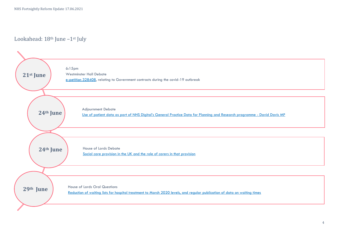Lookahead: 18<sup>th</sup> June -1<sup>st</sup> July

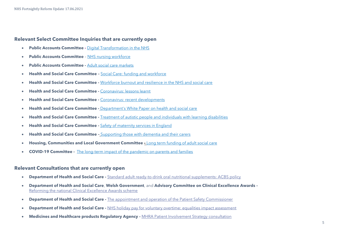NHS Fortnightly Reform Update 17.06.2021

#### **Relevant Select Committee Inquiries that are currently open**

- **Public Accounts Committee -** [Digital Transformation in the NHS](https://committees.parliament.uk/work/479/digital-transformation-in-the-nhs/)
- **Public Accounts Committee** [NHS nursing workforce](https://committees.parliament.uk/work/373/nhs-nursing-workforce/)
- **Public Accounts Committee -** [Adult social care markets](https://committees.parliament.uk/work/1135/adult-social-care-markets/)
- **Health and Social Care Committee –** [Social Care: funding and workforce](https://committees.parliament.uk/work/136/social-care-funding-and-workforce/)
- **Health and Social Care Committee -** [Workforce burnout and resilience in the NHS and social care](https://committees.parliament.uk/work/494/workforce-burnout-and-resilience-in-the-nhs-and-social-care/)
- **Health and Social Care Committee -** [Coronavirus: lessons learnt](https://committees.parliament.uk/work/657/coronavirus-lessons-learnt/)
- **Health and Social Care Committee -** [Coronavirus: recent developments](https://committees.parliament.uk/work/930/coronavirus-recent-developments/)
- **Health and Social Care Committee -** [Department's White Paper on health and social care](https://committees.parliament.uk/work/1068/departments-white-paper-on-health-and-social-care/)
- **Health and Social Care Committee -** [Treatment of autistic people and individuals with learning disabilities](https://committees.parliament.uk/work/1026/treatment-of-autistic-people-and-individuals-with-learning-disabilities/)
- **Health and Social Care Committee -** [Safety of maternity services in England](https://committees.parliament.uk/work/472/safety-of-maternity-services-in-england/)
- **Health and Social Care Committee –** [Supporting those with dementia and their carers](https://committees.parliament.uk/work/1231/supporting-those-with-dementia-and-their-carers/)
- **Housing, Communities and Local Government Committee -** [Long term funding of adult social care](https://committees.parliament.uk/work/1080/long-term-funding-of-adult-social-care/)
- **COVID-19 Committee -** [The long-term impact of the pandemic on parents and families](https://committees.parliament.uk/work/1121/the-longterm-impact-of-the-pandemic-on-parents-and-families/)

#### **Relevant Consultations that are currently open**

- **Department of Health and Social Care -** [Standard adult ready-to-drink oral nutritional supplements: ACBS policy](https://www.gov.uk/government/consultations/oral-nutritional-supplements-acbs-policy)
- **Department of Health and Social Care**, **Welsh Government**, and **Advisory Committee on Clinical Excellence Awards -** [Reforming the national Clinical Excellence Awards scheme](https://www.gov.uk/government/consultations/reforming-the-national-clinical-excellence-awards-scheme)
- **Department of Health and Social Care -** [The appointment and operation of the Patient Safety Commissioner](https://www.gov.uk/government/consultations/the-appointment-and-operation-of-the-patient-safety-commissioner)
- **Department of Health and Social Care -** [NHS holiday pay for voluntary overtime: equalities impact assessment](https://www.gov.uk/government/publications/nhs-holiday-pay-for-voluntary-overtime-equalities-impact-assessment)
- **Medicines and Healthcare products Regulatory Agency -** [MHRA Patient Involvement Strategy consultation](https://www.gov.uk/government/consultations/mhra-patient-involvement-strategy-consultation/proposed-patient-and-public-involvement-strategy-2020-25)